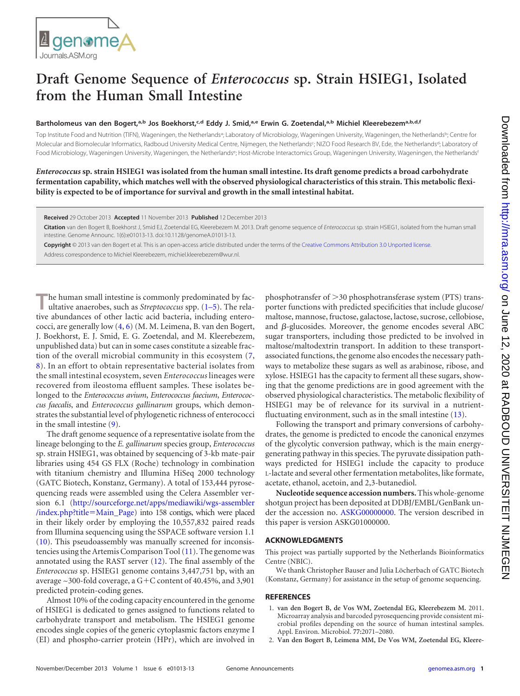## **Draft Genome Sequence of** *Enterococcus* **sp. Strain HSIEG1, Isolated from the Human Small Intestine**

## **Bartholomeus van den Bogert, a,b Jos Boekhorst, c,d Eddy J. Smid, a,e Erwin G. Zoetendal, a,b Michiel Kleerebezema,b,d,f**

Top Institute Food and Nutrition (TIFN), Wageningen, the Netherlands<sup>a</sup>; Laboratory of Microbiology, Wageningen University, Wageningen, the Netherlands<sup>b</sup>; Centre for Molecular and Biomolecular Informatics, Radboud University Medical Centre, Nijmegen, the Netherlands<sup>c</sup>; NIZO Food Research BV, Ede, the Netherlands<sup>d</sup>; Laboratory of Food Microbiology, Wageningen University, Wageningen, the Netherlandse; Host-Microbe Interactomics Group, Wageningen University, Wageningen, the Netherlandsf

*Enterococcus* **sp. strain HSIEG1 was isolated from the human small intestine. Its draft genome predicts a broad carbohydrate fermentation capability, which matches well with the observed physiological characteristics of this strain. This metabolic flexibility is expected to be of importance for survival and growth in the small intestinal habitat.**

**Received** 29 October 2013 **Accepted** 11 November 2013 **Published** 12 December 2013

**Citation** van den Bogert B, Boekhorst J, Smid EJ, Zoetendal EG, Kleerebezem M. 2013. Draft genome sequence of *Enterococcus* sp. strain HSIEG1, isolated from the human small intestine. Genome Announc. 1(6):e01013-13. doi:10.1128/genomeA.01013-13.

**Copyright** © 2013 van den Bogert et al. This is an open-access article distributed under the terms of the [Creative Commons Attribution 3.0 Unported license.](http://creativecommons.org/licenses/by/3.0/) Address correspondence to Michiel Kleerebezem, michiel.kleerebezem@wur.nl.

The human small intestine is commonly predominated by fac-<br>ultative anaerobes, such as *Streptococcus* spp. [\(1](#page-0-0)[–](#page-1-0)[5\)](#page-1-1). The relative abundances of other lactic acid bacteria, including enterococci, are generally low [\(4,](#page-1-0) [6\)](#page-1-2) (M. M. Leimena, B. van den Bogert, J. Boekhorst, E. J. Smid, E. G. Zoetendal, and M. Kleerebezem, unpublished data) but can in some cases constitute a sizeable fraction of the overall microbial community in this ecosystem [\(7,](#page-1-3) [8\)](#page-1-4). In an effort to obtain representative bacterial isolates from the small intestinal ecosystem, seven *Enterococcus* lineages were recovered from ileostoma effluent samples. These isolates belonged to the *Enterococcus avium*, *Enterococcus faecium*, *Enterococcus faecalis*, and *Enterococcus gallinarum* groups, which demonstrates the substantial level of phylogenetic richness of enterococci in the small intestine [\(9\)](#page-1-5).

The draft genome sequence of a representative isolate from the lineage belonging to the *E. gallinarum* species group, *Enterococcus* sp. strain HSIEG1, was obtained by sequencing of 3-kb mate-pair libraries using 454 GS FLX (Roche) technology in combination with titanium chemistry and Illumina HiSeq 2000 technology (GATC Biotech, Konstanz, Germany). A total of 153,444 pyrosequencing reads were assembled using the Celera Assembler version 6.1 [\(http://sourceforge.net/apps/mediawiki/wgs-assembler](http://sourceforge.net/apps/mediawiki/wgs-assembler/index.php?title=Main_Page) [/index.php?title](http://sourceforge.net/apps/mediawiki/wgs-assembler/index.php?title=Main_Page)=Main\_Page) into 158 contigs, which were placed in their likely order by employing the 10,557,832 paired reads from Illumina sequencing using the SSPACE software version 1.1 [\(10\)](#page-1-6). This pseudoassembly was manually screened for inconsistencies using the Artemis Comparison Tool [\(11\)](#page-1-7). The genome was annotated using the RAST server [\(12\)](#page-1-8). The final assembly of the *Enterococcus* sp. HSIEG1 genome contains 3,447,751 bp, with an average  $\sim$ 300-fold coverage, a G+C content of 40.45%, and 3,901 predicted protein-coding genes.

Almost 10% of the coding capacity encountered in the genome of HSIEG1 is dedicated to genes assigned to functions related to carbohydrate transport and metabolism. The HSIEG1 genome encodes single copies of the generic cytoplasmic factors enzyme I (EI) and phospho-carrier protein (HPr), which are involved in

phosphotransfer of  $>$ 30 phosphotransferase system (PTS) transporter functions with predicted specificities that include glucose/ maltose, mannose, fructose, galactose, lactose, sucrose, cellobiose, and  $\beta$ -glucosides. Moreover, the genome encodes several ABC sugar transporters, including those predicted to be involved in maltose/maltodextrin transport. In addition to these transportassociated functions, the genome also encodes the necessary pathways to metabolize these sugars as well as arabinose, ribose, and xylose. HSIEG1 has the capacity to ferment all these sugars, showing that the genome predictions are in good agreement with the observed physiological characteristics. The metabolic flexibility of HSIEG1 may be of relevance for its survival in a nutrientfluctuating environment, such as in the small intestine [\(13\)](#page-1-9).

Following the transport and primary conversions of carbohydrates, the genome is predicted to encode the canonical enzymes of the glycolytic conversion pathway, which is the main energygenerating pathway in this species. The pyruvate dissipation pathways predicted for HSIEG1 include the capacity to produce L-lactate and several other fermentation metabolites, like formate, acetate, ethanol, acetoin, and 2,3-butanediol.

**Nucleotide sequence accession numbers.**This whole-genome shotgun project has been deposited at DDBJ/EMBL/GenBank un-der the accession no. [ASKG00000000.](http://www.ncbi.nlm.nih.gov/nuccore?term=ASKG00000000) The version described in this paper is version ASKG01000000.

## **ACKNOWLEDGMENTS**

This project was partially supported by the Netherlands Bioinformatics Centre (NBIC).

We thank Christopher Bauser and Julia Löcherbach of GATC Biotech (Konstanz, Germany) for assistance in the setup of genome sequencing.

## <span id="page-0-0"></span>**REFERENCES**

- 1. **van den Bogert B, de Vos WM, Zoetendal EG, Kleerebezem M.** 2011. Microarray analysis and barcoded pyrosequencing provide consistent microbial profiles depending on the source of human intestinal samples. Appl. Environ. Microbiol. **77:**2071–2080.
- 2. **Van den Bogert B, Leimena MM, De Vos WM, Zoetendal EG, Kleere-**